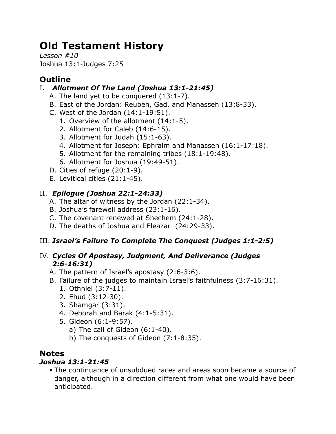# **Old Testament History**

*Lesson #10* Joshua 13:1-Judges 7:25

# **Outline**

# I. *Allotment Of The Land (Joshua 13:1-21:45)*

- A. The land yet to be conquered (13:1-7).
- B. East of the Jordan: Reuben, Gad, and Manasseh (13:8-33).
- C. West of the Jordan (14:1-19:51).
	- 1. Overview of the allotment (14:1-5).
	- 2. Allotment for Caleb (14:6-15).
	- 3. Allotment for Judah (15:1-63).
	- 4. Allotment for Joseph: Ephraim and Manasseh (16:1-17:18).
	- 5. Allotment for the remaining tribes (18:1-19:48).
	- 6. Allotment for Joshua (19:49-51).
- D. Cities of refuge (20:1-9).
- E. Levitical cities (21:1-45).

# II. *Epilogue (Joshua 22:1-24:33)*

- A. The altar of witness by the Jordan (22:1-34).
- B. Joshua's farewell address (23:1-16).
- C. The covenant renewed at Shechem (24:1-28).
- D. The deaths of Joshua and Eleazar (24:29-33).

# III. *Israel's Failure To Complete The Conquest (Judges 1:1-2:5)*

## IV. *Cycles Of Apostasy, Judgment, And Deliverance (Judges 2:6-16:31)*

- A. The pattern of Israel's apostasy (2:6-3:6).
- B. Failure of the judges to maintain Israel's faithfulness (3:7-16:31).
	- 1. Othniel (3:7-11).
	- 2. Ehud (3:12-30).
	- 3. Shamgar (3:31).
	- 4. Deborah and Barak (4:1-5:31).
	- 5. Gideon (6:1-9:57).
		- a) The call of Gideon (6:1-40).
		- b) The conquests of Gideon (7:1-8:35).

# **Notes**

## *Joshua 13:1-21:45*

• The continuance of unsubdued races and areas soon became a source of danger, although in a direction different from what one would have been anticipated.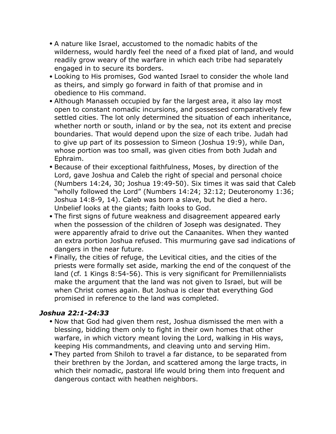- A nature like Israel, accustomed to the nomadic habits of the wilderness, would hardly feel the need of a fixed plat of land, and would readily grow weary of the warfare in which each tribe had separately engaged in to secure its borders.
- Looking to His promises, God wanted Israel to consider the whole land as theirs, and simply go forward in faith of that promise and in obedience to His command.
- Although Manasseh occupied by far the largest area, it also lay most open to constant nomadic incursions, and possessed comparatively few settled cities. The lot only determined the situation of each inheritance, whether north or south, inland or by the sea, not its extent and precise boundaries. That would depend upon the size of each tribe. Judah had to give up part of its possession to Simeon (Joshua 19:9), while Dan, whose portion was too small, was given cities from both Judah and Ephraim.
- Because of their exceptional faithfulness, Moses, by direction of the Lord, gave Joshua and Caleb the right of special and personal choice (Numbers 14:24, 30; Joshua 19:49-50). Six times it was said that Caleb "wholly followed the Lord" (Numbers 14:24; 32:12; Deuteronomy 1:36; Joshua 14:8-9, 14). Caleb was born a slave, but he died a hero. Unbelief looks at the giants; faith looks to God.
- The first signs of future weakness and disagreement appeared early when the possession of the children of Joseph was designated. They were apparently afraid to drive out the Canaanites. When they wanted an extra portion Joshua refused. This murmuring gave sad indications of dangers in the near future.
- Finally, the cities of refuge, the Levitical cities, and the cities of the priests were formally set aside, marking the end of the conquest of the land (cf. 1 Kings 8:54-56). This is very significant for Premillennialists make the argument that the land was not given to Israel, but will be when Christ comes again. But Joshua is clear that everything God promised in reference to the land was completed.

#### *Joshua 22:1-24:33*

- Now that God had given them rest, Joshua dismissed the men with a blessing, bidding them only to fight in their own homes that other warfare, in which victory meant loving the Lord, walking in His ways, keeping His commandments, and cleaving unto and serving Him.
- They parted from Shiloh to travel a far distance, to be separated from their brethren by the Jordan, and scattered among the large tracts, in which their nomadic, pastoral life would bring them into frequent and dangerous contact with heathen neighbors.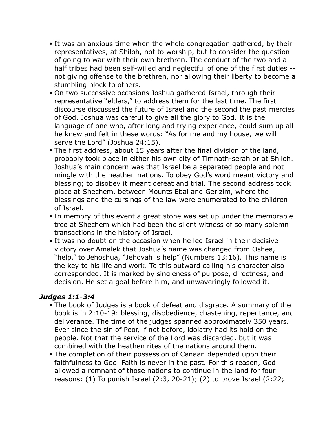- It was an anxious time when the whole congregation gathered, by their representatives, at Shiloh, not to worship, but to consider the question of going to war with their own brethren. The conduct of the two and a half tribes had been self-willed and neglectful of one of the first duties - not giving offense to the brethren, nor allowing their liberty to become a stumbling block to others.
- On two successive occasions Joshua gathered Israel, through their representative "elders," to address them for the last time. The first discourse discussed the future of Israel and the second the past mercies of God. Joshua was careful to give all the glory to God. It is the language of one who, after long and trying experience, could sum up all he knew and felt in these words: "As for me and my house, we will serve the Lord" (Joshua 24:15).
- The first address, about 15 years after the final division of the land, probably took place in either his own city of Timnath-serah or at Shiloh. Joshua's main concern was that Israel be a separated people and not mingle with the heathen nations. To obey God's word meant victory and blessing; to disobey it meant defeat and trial. The second address took place at Shechem, between Mounts Ebal and Gerizim, where the blessings and the cursings of the law were enumerated to the children of Israel.
- In memory of this event a great stone was set up under the memorable tree at Shechem which had been the silent witness of so many solemn transactions in the history of Israel.
- It was no doubt on the occasion when he led Israel in their decisive victory over Amalek that Joshua's name was changed from Oshea, "help," to Jehoshua, "Jehovah is help" (Numbers 13:16). This name is the key to his life and work. To this outward calling his character also corresponded. It is marked by singleness of purpose, directness, and decision. He set a goal before him, and unwaveringly followed it.

#### *Judges 1:1-3:4*

- The book of Judges is a book of defeat and disgrace. A summary of the book is in 2:10-19: blessing, disobedience, chastening, repentance, and deliverance. The time of the judges spanned approximately 350 years. Ever since the sin of Peor, if not before, idolatry had its hold on the people. Not that the service of the Lord was discarded, but it was combined with the heathen rites of the nations around them.
- The completion of their possession of Canaan depended upon their faithfulness to God. Faith is never in the past. For this reason, God allowed a remnant of those nations to continue in the land for four reasons: (1) To punish Israel (2:3, 20-21); (2) to prove Israel (2:22;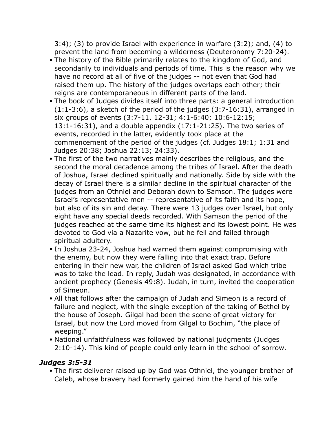3:4); (3) to provide Israel with experience in warfare (3:2); and, (4) to prevent the land from becoming a wilderness (Deuteronomy 7:20-24).

- The history of the Bible primarily relates to the kingdom of God, and secondarily to individuals and periods of time. This is the reason why we have no record at all of five of the judges -- not even that God had raised them up. The history of the judges overlaps each other; their reigns are contemporaneous in different parts of the land.
- The book of Judges divides itself into three parts: a general introduction (1:1-3:6), a sketch of the period of the judges (3:7-16:31), arranged in six groups of events (3:7-11, 12-31; 4:1-6:40; 10:6-12:15; 13:1-16:31), and a double appendix (17:1-21:25). The two series of events, recorded in the latter, evidently took place at the commencement of the period of the judges (cf. Judges 18:1; 1:31 and Judges 20:38; Joshua 22:13; 24:33).
- The first of the two narratives mainly describes the religious, and the second the moral decadence among the tribes of Israel. After the death of Joshua, Israel declined spiritually and nationally. Side by side with the decay of Israel there is a similar decline in the spiritual character of the judges from an Othniel and Deborah down to Samson. The judges were Israel's representative men -- representative of its faith and its hope, but also of its sin and decay. There were 13 judges over Israel, but only eight have any special deeds recorded. With Samson the period of the judges reached at the same time its highest and its lowest point. He was devoted to God via a Nazarite vow, but he fell and failed through spiritual adultery.
- In Joshua 23-24, Joshua had warned them against compromising with the enemy, but now they were falling into that exact trap. Before entering in their new war, the children of Israel asked God which tribe was to take the lead. In reply, Judah was designated, in accordance with ancient prophecy (Genesis 49:8). Judah, in turn, invited the cooperation of Simeon.
- All that follows after the campaign of Judah and Simeon is a record of failure and neglect, with the single exception of the taking of Bethel by the house of Joseph. Gilgal had been the scene of great victory for Israel, but now the Lord moved from Gilgal to Bochim, "the place of weeping."
- National unfaithfulness was followed by national judgments (Judges 2:10-14). This kind of people could only learn in the school of sorrow.

#### *Judges 3:5-31*

• The first deliverer raised up by God was Othniel, the younger brother of Caleb, whose bravery had formerly gained him the hand of his wife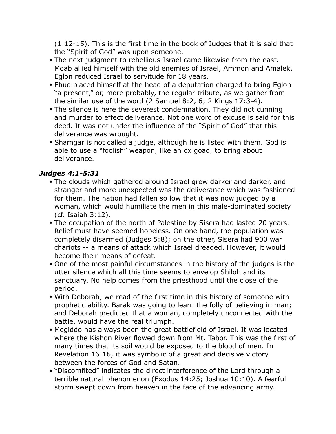(1:12-15). This is the first time in the book of Judges that it is said that the "Spirit of God" was upon someone.

- The next judgment to rebellious Israel came likewise from the east. Moab allied himself with the old enemies of Israel, Ammon and Amalek. Eglon reduced Israel to servitude for 18 years.
- Ehud placed himself at the head of a deputation charged to bring Eglon "a present," or, more probably, the regular tribute, as we gather from the similar use of the word (2 Samuel 8:2, 6; 2 Kings 17:3-4).
- The silence is here the severest condemnation. They did not cunning and murder to effect deliverance. Not one word of excuse is said for this deed. It was not under the influence of the "Spirit of God" that this deliverance was wrought.
- Shamgar is not called a judge, although he is listed with them. God is able to use a "foolish" weapon, like an ox goad, to bring about deliverance.

### *Judges 4:1-5:31*

- The clouds which gathered around Israel grew darker and darker, and stranger and more unexpected was the deliverance which was fashioned for them. The nation had fallen so low that it was now judged by a woman, which would humiliate the men in this male-dominated society (cf. Isaiah 3:12).
- The occupation of the north of Palestine by Sisera had lasted 20 years. Relief must have seemed hopeless. On one hand, the population was completely disarmed (Judges 5:8); on the other, Sisera had 900 war chariots -- a means of attack which Israel dreaded. However, it would become their means of defeat.
- One of the most painful circumstances in the history of the judges is the utter silence which all this time seems to envelop Shiloh and its sanctuary. No help comes from the priesthood until the close of the period.
- With Deborah, we read of the first time in this history of someone with prophetic ability. Barak was going to learn the folly of believing in man; and Deborah predicted that a woman, completely unconnected with the battle, would have the real triumph.
- Megiddo has always been the great battlefield of Israel. It was located where the Kishon River flowed down from Mt. Tabor. This was the first of many times that its soil would be exposed to the blood of men. In Revelation 16:16, it was symbolic of a great and decisive victory between the forces of God and Satan.
- "Discomfited" indicates the direct interference of the Lord through a terrible natural phenomenon (Exodus 14:25; Joshua 10:10). A fearful storm swept down from heaven in the face of the advancing army.